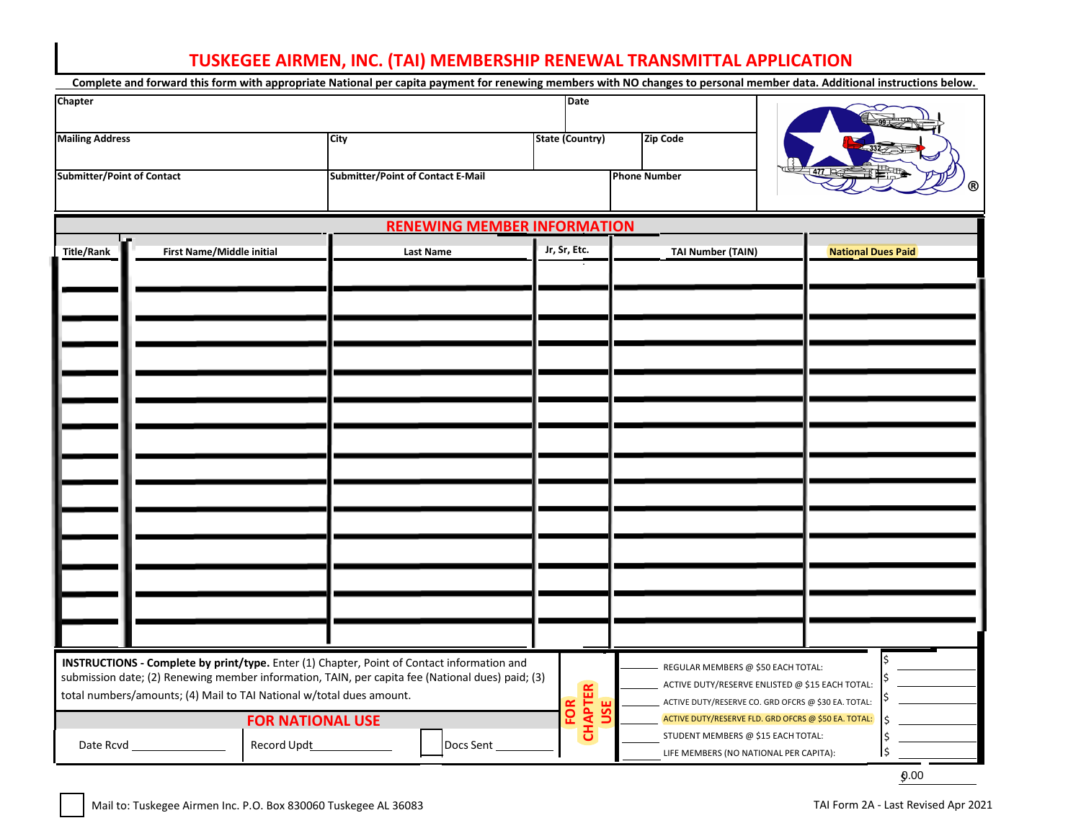## **TUSKEGEE AIRMEN, INC. (TAI) MEMBERSHIP RENEWAL TRANSMITTAL APPLICATION**

| Complete and forward this form with appropriate National per capita payment for renewing members with NO changes to personal member data. Additional instructions below.                                                                                               |                           |             |                                          |                                    |                              |         |                                                                              |                                                                                                             |                           |  |
|------------------------------------------------------------------------------------------------------------------------------------------------------------------------------------------------------------------------------------------------------------------------|---------------------------|-------------|------------------------------------------|------------------------------------|------------------------------|---------|------------------------------------------------------------------------------|-------------------------------------------------------------------------------------------------------------|---------------------------|--|
| Chapter                                                                                                                                                                                                                                                                |                           |             |                                          |                                    | Date                         |         |                                                                              |                                                                                                             |                           |  |
| <b>Mailing Address</b>                                                                                                                                                                                                                                                 |                           |             | <b>City</b>                              |                                    | <b>State (Country)</b>       |         | <b>Zip Code</b>                                                              |                                                                                                             |                           |  |
| <b>Submitter/Point of Contact</b>                                                                                                                                                                                                                                      |                           |             | <b>Submitter/Point of Contact E-Mail</b> |                                    |                              |         | <b>Phone Number</b>                                                          |                                                                                                             |                           |  |
|                                                                                                                                                                                                                                                                        |                           |             |                                          | <b>RENEWING MEMBER INFORMATION</b> |                              |         |                                                                              |                                                                                                             |                           |  |
| <b>Title/Rank</b>                                                                                                                                                                                                                                                      | First Name/Middle initial |             |                                          | <b>Last Name</b>                   | Jr, Sr, Etc.                 |         | <b>TAI Number (TAIN)</b>                                                     |                                                                                                             | <b>National Dues Paid</b> |  |
|                                                                                                                                                                                                                                                                        |                           |             |                                          |                                    |                              |         |                                                                              |                                                                                                             |                           |  |
|                                                                                                                                                                                                                                                                        |                           |             |                                          |                                    |                              |         |                                                                              |                                                                                                             |                           |  |
|                                                                                                                                                                                                                                                                        |                           |             |                                          |                                    |                              |         |                                                                              |                                                                                                             |                           |  |
|                                                                                                                                                                                                                                                                        |                           |             |                                          |                                    |                              |         |                                                                              |                                                                                                             |                           |  |
|                                                                                                                                                                                                                                                                        |                           |             |                                          |                                    |                              |         |                                                                              |                                                                                                             |                           |  |
|                                                                                                                                                                                                                                                                        |                           |             |                                          |                                    |                              |         |                                                                              |                                                                                                             |                           |  |
|                                                                                                                                                                                                                                                                        |                           |             |                                          |                                    |                              |         |                                                                              |                                                                                                             |                           |  |
|                                                                                                                                                                                                                                                                        |                           |             |                                          |                                    |                              |         |                                                                              |                                                                                                             |                           |  |
| INSTRUCTIONS - Complete by print/type. Enter (1) Chapter, Point of Contact information and<br>submission date; (2) Renewing member information, TAIN, per capita fee (National dues) paid; (3)<br>total numbers/amounts; (4) Mail to TAI National w/total dues amount. |                           |             |                                          |                                    |                              |         | REGULAR MEMBERS @ \$50 EACH TOTAL:                                           | ACTIVE DUTY/RESERVE ENLISTED @ \$15 EACH TOTAL:                                                             |                           |  |
| <b>FOR NATIONAL USE</b>                                                                                                                                                                                                                                                |                           |             |                                          |                                    | <b>CHAPTER</b><br><b>FOR</b> | 56<br>∍ |                                                                              | ACTIVE DUTY/RESERVE CO. GRD OFCRS @ \$30 EA. TOTAL:<br>ACTIVE DUTY/RESERVE FLD. GRD OFCRS @ \$50 EA. TOTAL: |                           |  |
| Date Rcvd_                                                                                                                                                                                                                                                             |                           | Record Updt | Docs Sent                                |                                    |                              |         | STUDENT MEMBERS @ \$15 EACH TOTAL:<br>LIFE MEMBERS (NO NATIONAL PER CAPITA): |                                                                                                             |                           |  |